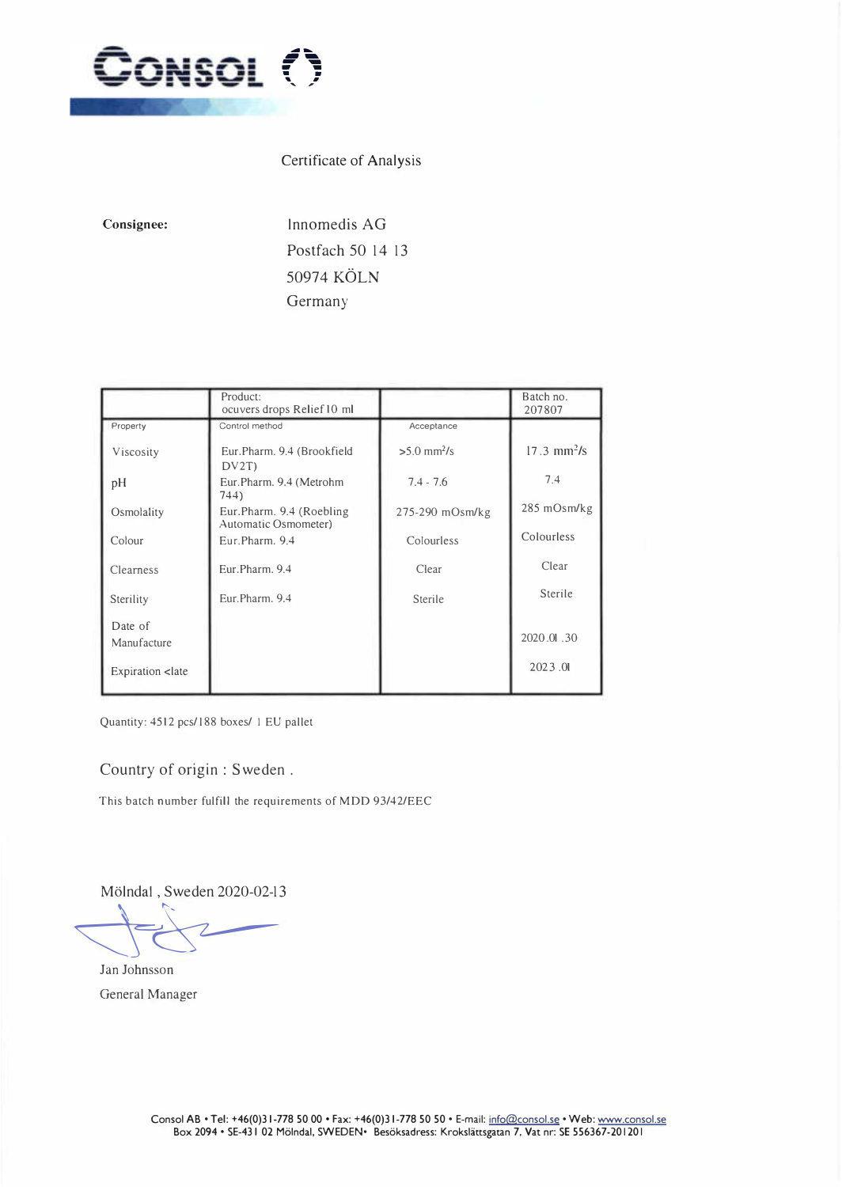

## Certificate of Analysis

**Consignee:** 

lnnomedis AG Postfach 50 14 13 50974 KÖLN **Germany** 

|                                                                    | Product:<br>ocuvers drops Relief 10 ml            |                           | Batch no.<br>207807          |
|--------------------------------------------------------------------|---------------------------------------------------|---------------------------|------------------------------|
| Property                                                           | Control method                                    | Acceptance                |                              |
| Viscosity                                                          | Eur.Pharm. 9.4 (Brookfield<br>DV2T                | $>5.0$ mm <sup>2</sup> /s | $17.3 \text{ mm}^2/\text{s}$ |
| pН                                                                 | Eur.Pharm. 9.4 (Metrohm<br>744)                   | $7.4 - 7.6$               | 7.4                          |
| Osmolality                                                         | Eur.Pharm. 9.4 (Roebling)<br>Automatic Osmometer) | 275-290 mOsm/kg           | 285 mOsm/kg                  |
| Colour                                                             | Eur.Pharm. 9.4                                    | Colourless                | Colourless                   |
| Clearness                                                          | Eur.Pharm. 9.4                                    | Clear                     | Clear                        |
| Sterility                                                          | Eur.Pharm. 9.4                                    | Sterile                   | Sterile                      |
| Date of<br>Manufacture                                             |                                                   |                           | 2020.01.30                   |
| Expiration <late< td=""><td></td><td></td><td>2023.01</td></late<> |                                                   |                           | 2023.01                      |

Quantity: 4512 pcs/188 boxes/ 1 EU pallet

## Country of origin : Sweden .

This batch number fulfill the requirements of MDD 93/42/EEC

Mölndal, Sweden 2020-02-13

 $\bigcup\limits_{\alpha\in\mathbb{Z}}\bigcup\limits_{\alpha\in\mathbb{Z}}\bigcup\limits_{\alpha\in\mathbb{Z}}\bigcup\limits_{\alpha\in\mathbb{Z}}\bigcup\limits_{\alpha\in\mathbb{Z}}\bigcup\limits_{\alpha\in\mathbb{Z}}\bigcup\limits_{\alpha\in\mathbb{Z}}\bigcup\limits_{\alpha\in\mathbb{Z}}\bigcup\limits_{\alpha\in\mathbb{Z}}\bigcup\limits_{\alpha\in\mathbb{Z}}\bigcup\limits_{\alpha\in\mathbb{Z}}\bigcup\limits_{\alpha\in\mathbb{Z}}\bigcup\limits_{\alpha\in\mathbb{Z}}\bigcup\limits_{\alpha\in\math$ 

Jan Johnsson General Manager